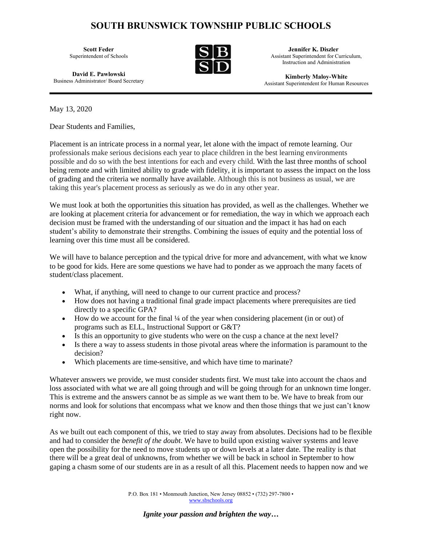## **SOUTH BRUNSWICK TOWNSHIP PUBLIC SCHOOLS**

**Scott Feder** Superintendent of Schools

 **Jennifer K. Diszler** Assistant Superintendent for Curriculum, Instruction and Administration

**Kimberly Maloy-White** Assistant Superintendent for Human Resources

**David E. Pawlowski** Business Administrator/ Board Secretary

May 13, 2020

Dear Students and Families,

Placement is an intricate process in a normal year, let alone with the impact of remote learning. Our professionals make serious decisions each year to place children in the best learning environments possible and do so with the best intentions for each and every child. With the last three months of school being remote and with limited ability to grade with fidelity, it is important to assess the impact on the loss of grading and the criteria we normally have available. Although this is not business as usual, we are taking this year's placement process as seriously as we do in any other year.

We must look at both the opportunities this situation has provided, as well as the challenges. Whether we are looking at placement criteria for advancement or for remediation, the way in which we approach each decision must be framed with the understanding of our situation and the impact it has had on each student's ability to demonstrate their strengths. Combining the issues of equity and the potential loss of learning over this time must all be considered.

We will have to balance perception and the typical drive for more and advancement, with what we know to be good for kids. Here are some questions we have had to ponder as we approach the many facets of student/class placement.

- What, if anything, will need to change to our current practice and process?
- How does not having a traditional final grade impact placements where prerequisites are tied directly to a specific GPA?
- How do we account for the final 1/4 of the year when considering placement (in or out) of programs such as ELL, Instructional Support or G&T?
- Is this an opportunity to give students who were on the cusp a chance at the next level?
- Is there a way to assess students in those pivotal areas where the information is paramount to the decision?
- Which placements are time-sensitive, and which have time to marinate?

Whatever answers we provide, we must consider students first. We must take into account the chaos and loss associated with what we are all going through and will be going through for an unknown time longer. This is extreme and the answers cannot be as simple as we want them to be. We have to break from our norms and look for solutions that encompass what we know and then those things that we just can't know right now.

As we built out each component of this, we tried to stay away from absolutes. Decisions had to be flexible and had to consider the *benefit of the doubt*. We have to build upon existing waiver systems and leave open the possibility for the need to move students up or down levels at a later date. The reality is that there will be a great deal of unknowns, from whether we will be back in school in September to how gaping a chasm some of our students are in as a result of all this. Placement needs to happen now and we

> P.O. Box 181 • Monmouth Junction, New Jersey 08852 • (732) 297-7800 • [www.sbschools.org](http://www.sbschools.org/)